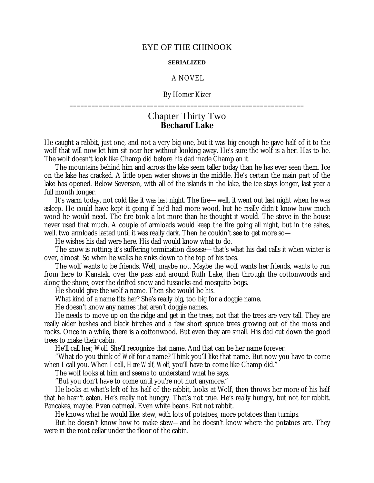## EYE OF THE CHINOOK

## **SERIALIZED**

## A NOVEL

By Homer Kizer **\_\_\_\_\_\_\_\_\_\_\_\_\_\_\_\_\_\_\_\_\_\_\_\_\_\_\_\_\_\_\_\_\_\_\_\_\_\_\_\_\_\_\_\_\_\_\_\_\_\_\_\_\_\_\_\_\_\_\_\_\_\_\_\_**

## Chapter Thirty Two **Becharof Lake**

He caught a rabbit, just one, and not a very big one, but it was big enough he gave half of it to the wolf that will now let him sit near her without looking away. He's sure the wolf is a her. Has to be. The wolf doesn't look like Champ did before his dad made Champ an *it*.

The mountains behind him and across the lake seem taller today than he has ever seen them. Ice on the lake has cracked. A little open water shows in the middle. He's certain the main part of the lake has opened. Below Severson, with all of the islands in the lake, the ice stays longer, last year a full month longer.

It's warm today, not cold like it was last night. The fire— well, it went out last night when he was asleep. He could have kept it going if he'd had more wood, but he really didn't know how much wood he would need. The fire took a lot more than he thought it would. The stove in the house never used that much. A couple of armloads would keep the fire going all night, but in the ashes, well, two armloads lasted until it was really dark. Then he couldn't see to get more so—

He wishes his dad were here. His dad would know what to do.

The snow is rotting; it's suffering termination disease— that's what his dad calls it when winter is over, almost. So when he walks he sinks down to the top of his toes.

The wolf wants to be friends. Well, maybe not. Maybe the wolf wants her friends, wants to run from here to Kanatak, over the pass and around Ruth Lake, then through the cottonwoods and along the shore, over the drifted snow and tussocks and mosquito bogs.

He should give the wolf a name. Then she would be his.

What kind of a name fits her? She's really big, too big for a doggie name.

He doesn't know any names that aren't doggie names.

He needs to move up on the ridge and get in the trees, not that the trees are very tall. They are really alder bushes and black birches and a few short spruce trees growing out of the moss and rocks. Once in a while, there is a cottonwood. But even they are small. His dad cut down the good trees to make their cabin.

He'll call her, *Wolf*. She'll recognize that name. And that can be her name forever.

"What do you think of *Wolf* for a name? Think you'll like that name. But now you have to come when I call you. When I call, *Here Wolf, Wolf*, you'll have to come like Champ did."

The wolf looks at him and seems to understand what he says.

"But you don't have to come until you're not hurt anymore."

He looks at what's left of his half of the rabbit, looks at Wolf, then throws her more of his half that he hasn't eaten. He's really not hungry. That's not true. He's really hungry, but not for rabbit. Pancakes, maybe. Even oatmeal. Even white beans. But not rabbit.

He knows what he would like: stew, with lots of potatoes, more potatoes than turnips.

But he doesn't know how to make stew— and he doesn't know where the potatoes are. They were in the root cellar under the floor of the cabin.